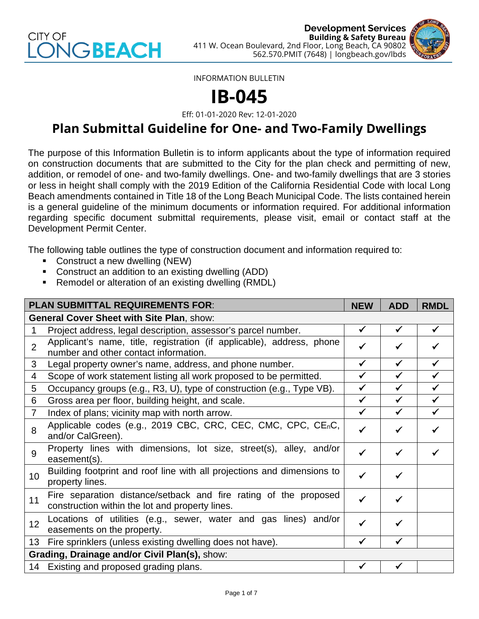



INFORMATION BULLETIN

## **IB-045**

Eff: 01-01-2020 Rev: 12-01-2020

## **Plan Submittal Guideline for One- and Two-Family Dwellings**

The purpose of this Information Bulletin is to inform applicants about the type of information required on construction documents that are submitted to the City for the plan check and permitting of new, addition, or remodel of one- and two-family dwellings. One- and two-family dwellings that are 3 stories or less in height shall comply with the 2019 Edition of the California Residential Code with local Long Beach amendments contained in Title 18 of the Long Beach Municipal Code. The lists contained herein is a general guideline of the minimum documents or information required. For additional information regarding specific document submittal requirements, please visit, email or contact staff at the Development Permit Center.

The following table outlines the type of construction document and information required to:

- Construct a new dwelling (NEW)
- Construct an addition to an existing dwelling (ADD)
- Remodel or alteration of an existing dwelling (RMDL)

| <b>PLAN SUBMITTAL REQUIREMENTS FOR:</b>          |                                                                                                                     |              | <b>ADD</b>   | <b>RMDL</b>  |
|--------------------------------------------------|---------------------------------------------------------------------------------------------------------------------|--------------|--------------|--------------|
| <b>General Cover Sheet with Site Plan, show:</b> |                                                                                                                     |              |              |              |
|                                                  | Project address, legal description, assessor's parcel number.                                                       | $\checkmark$ | $\checkmark$ | $\checkmark$ |
| $\overline{2}$                                   | Applicant's name, title, registration (if applicable), address, phone<br>number and other contact information.      | ✔            |              |              |
| 3                                                | Legal property owner's name, address, and phone number.                                                             | $\checkmark$ | $\checkmark$ | ✔            |
| 4                                                | Scope of work statement listing all work proposed to be permitted.                                                  | ✓            |              |              |
| 5                                                | Occupancy groups (e.g., R3, U), type of construction (e.g., Type VB).                                               | $\checkmark$ | $\checkmark$ |              |
| 6                                                | Gross area per floor, building height, and scale.                                                                   | ✓            | ✓            |              |
| $\overline{7}$                                   | Index of plans; vicinity map with north arrow.                                                                      | ✓            | $\checkmark$ | ✓            |
| 8                                                | Applicable codes (e.g., 2019 CBC, CRC, CEC, CMC, CPC, CE <sub>n</sub> C,<br>and/or CalGreen).                       | $\checkmark$ |              |              |
| 9                                                | Property lines with dimensions, lot size, street(s), alley, and/or<br>easement(s).                                  | $\checkmark$ |              |              |
| 10                                               | Building footprint and roof line with all projections and dimensions to<br>property lines.                          | $\checkmark$ | $\checkmark$ |              |
| 11                                               | Fire separation distance/setback and fire rating of the proposed<br>construction within the lot and property lines. | ✓            |              |              |
| 12                                               | Locations of utilities (e.g., sewer, water and gas lines) and/or<br>easements on the property.                      | ✓            | ✔            |              |
| 13                                               | Fire sprinklers (unless existing dwelling does not have).                                                           | √            |              |              |
| Grading, Drainage and/or Civil Plan(s), show:    |                                                                                                                     |              |              |              |
|                                                  | 14 Existing and proposed grading plans.                                                                             | ✓            | ✔            |              |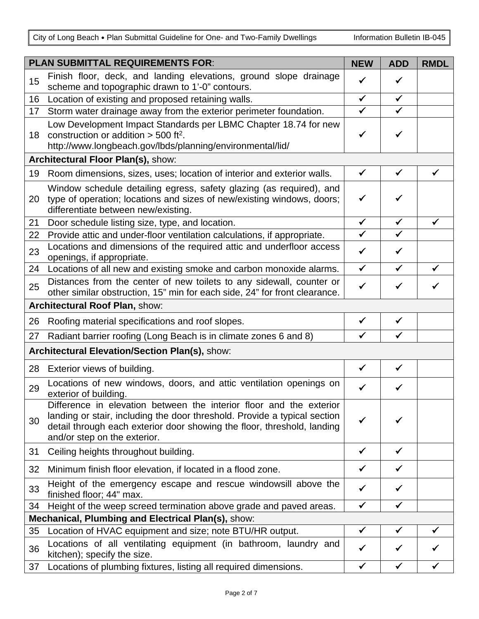City of Long Beach . Plan Submittal Guideline for One- and Two-Family Dwellings Information Bulletin IB-045

| <b>PLAN SUBMITTAL REQUIREMENTS FOR:</b>            |                                                                                                                                                                                                                                                             | <b>NEW</b>   | <b>ADD</b>   | <b>RMDL</b>  |
|----------------------------------------------------|-------------------------------------------------------------------------------------------------------------------------------------------------------------------------------------------------------------------------------------------------------------|--------------|--------------|--------------|
| 15                                                 | Finish floor, deck, and landing elevations, ground slope drainage<br>scheme and topographic drawn to 1'-0" contours.                                                                                                                                        | ✔            | ✔            |              |
| 16                                                 | Location of existing and proposed retaining walls.                                                                                                                                                                                                          | $\checkmark$ | ✓            |              |
| 17                                                 | Storm water drainage away from the exterior perimeter foundation.                                                                                                                                                                                           | $\checkmark$ | $\checkmark$ |              |
| 18                                                 | Low Development Impact Standards per LBMC Chapter 18.74 for new<br>construction or addition $>$ 500 ft <sup>2</sup> .<br>http://www.longbeach.gov/lbds/planning/environmental/lid/                                                                          | $\checkmark$ | ✓            |              |
|                                                    | Architectural Floor Plan(s), show:                                                                                                                                                                                                                          |              |              |              |
| 19                                                 | Room dimensions, sizes, uses; location of interior and exterior walls.                                                                                                                                                                                      | $\checkmark$ | $\checkmark$ | $\checkmark$ |
| 20                                                 | Window schedule detailing egress, safety glazing (as required), and<br>type of operation; locations and sizes of new/existing windows, doors;<br>differentiate between new/existing.                                                                        | $\checkmark$ |              |              |
| 21                                                 | Door schedule listing size, type, and location.                                                                                                                                                                                                             | $\checkmark$ | $\checkmark$ | ✓            |
| 22                                                 | Provide attic and under-floor ventilation calculations, if appropriate.                                                                                                                                                                                     | $\checkmark$ | $\checkmark$ |              |
| 23                                                 | Locations and dimensions of the required attic and underfloor access<br>openings, if appropriate.                                                                                                                                                           | $\checkmark$ | $\checkmark$ |              |
| 24                                                 | Locations of all new and existing smoke and carbon monoxide alarms.                                                                                                                                                                                         | $\checkmark$ | $\checkmark$ | ✓            |
| 25                                                 | Distances from the center of new toilets to any sidewall, counter or<br>other similar obstruction, 15" min for each side, 24" for front clearance.                                                                                                          | $\checkmark$ |              |              |
|                                                    | Architectural Roof Plan, show:                                                                                                                                                                                                                              |              |              |              |
| 26                                                 | Roofing material specifications and roof slopes.                                                                                                                                                                                                            | $\checkmark$ | $\checkmark$ |              |
| 27                                                 | Radiant barrier roofing (Long Beach is in climate zones 6 and 8)                                                                                                                                                                                            | ✓            | ✓            |              |
|                                                    | Architectural Elevation/Section Plan(s), show:                                                                                                                                                                                                              |              |              |              |
| 28                                                 | Exterior views of building.                                                                                                                                                                                                                                 | $\checkmark$ | $\checkmark$ |              |
| 29                                                 | Locations of new windows, doors, and attic ventilation openings on<br>exterior of building.                                                                                                                                                                 | ✓            | ✔            |              |
| 30                                                 | Difference in elevation between the interior floor and the exterior<br>landing or stair, including the door threshold. Provide a typical section<br>detail through each exterior door showing the floor, threshold, landing<br>and/or step on the exterior. | ✓            |              |              |
| 31                                                 | Ceiling heights throughout building.                                                                                                                                                                                                                        | ✓            | ✔            |              |
| 32                                                 | Minimum finish floor elevation, if located in a flood zone.                                                                                                                                                                                                 | $\checkmark$ | $\checkmark$ |              |
| 33                                                 | Height of the emergency escape and rescue windowsill above the<br>finished floor; 44" max.                                                                                                                                                                  | ✔            | ✔            |              |
| 34                                                 | Height of the weep screed termination above grade and paved areas.                                                                                                                                                                                          | $\checkmark$ | $\checkmark$ |              |
| Mechanical, Plumbing and Electrical Plan(s), show: |                                                                                                                                                                                                                                                             |              |              |              |
| 35                                                 | Location of HVAC equipment and size; note BTU/HR output.                                                                                                                                                                                                    | $\checkmark$ | ✔            |              |
| 36                                                 | Locations of all ventilating equipment (in bathroom, laundry and<br>kitchen); specify the size.                                                                                                                                                             | ✓            | ✔            |              |
| 37                                                 | Locations of plumbing fixtures, listing all required dimensions.                                                                                                                                                                                            | $\checkmark$ | $\checkmark$ |              |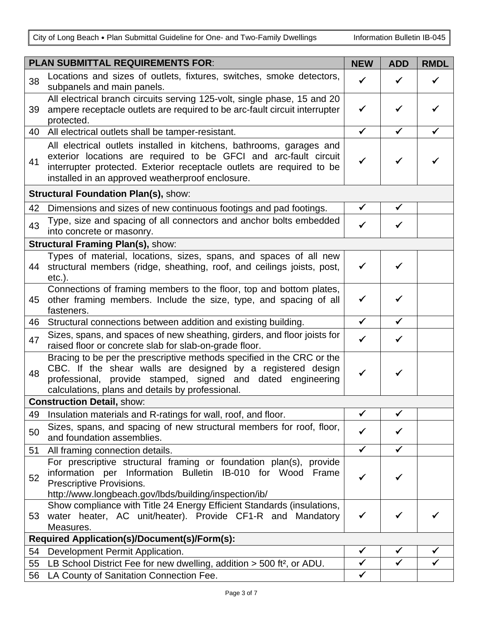City of Long Beach . Plan Submittal Guideline for One- and Two-Family Dwellings Information Bulletin IB-045

| <b>PLAN SUBMITTAL REQUIREMENTS FOR:</b>      |                                                                                                                                                                                                                                                                       | <b>NEW</b>                   | <b>ADD</b>                   | <b>RMDL</b>       |
|----------------------------------------------|-----------------------------------------------------------------------------------------------------------------------------------------------------------------------------------------------------------------------------------------------------------------------|------------------------------|------------------------------|-------------------|
| 38                                           | Locations and sizes of outlets, fixtures, switches, smoke detectors,<br>subpanels and main panels.                                                                                                                                                                    | ✓                            | ✓                            | ✓                 |
| 39                                           | All electrical branch circuits serving 125-volt, single phase, 15 and 20<br>ampere receptacle outlets are required to be arc-fault circuit interrupter<br>protected.                                                                                                  | $\checkmark$                 |                              |                   |
| 40                                           | All electrical outlets shall be tamper-resistant.                                                                                                                                                                                                                     | $\checkmark$                 | ✓                            | ✓                 |
| 41                                           | All electrical outlets installed in kitchens, bathrooms, garages and<br>exterior locations are required to be GFCI and arc-fault circuit<br>interrupter protected. Exterior receptacle outlets are required to be<br>installed in an approved weatherproof enclosure. | $\checkmark$                 | ✓                            |                   |
|                                              | <b>Structural Foundation Plan(s), show:</b>                                                                                                                                                                                                                           |                              |                              |                   |
| 42                                           | Dimensions and sizes of new continuous footings and pad footings.                                                                                                                                                                                                     | $\checkmark$                 | $\checkmark$                 |                   |
| 43                                           | Type, size and spacing of all connectors and anchor bolts embedded<br>into concrete or masonry.                                                                                                                                                                       | ✓                            |                              |                   |
|                                              | <b>Structural Framing Plan(s), show:</b>                                                                                                                                                                                                                              |                              |                              |                   |
| 44                                           | Types of material, locations, sizes, spans, and spaces of all new<br>structural members (ridge, sheathing, roof, and ceilings joists, post,<br>$etc.$ ).                                                                                                              | $\checkmark$                 |                              |                   |
| 45                                           | Connections of framing members to the floor, top and bottom plates,<br>other framing members. Include the size, type, and spacing of all<br>fasteners.                                                                                                                | $\checkmark$                 |                              |                   |
| 46                                           | Structural connections between addition and existing building.                                                                                                                                                                                                        | $\checkmark$                 | $\checkmark$                 |                   |
| 47                                           | Sizes, spans, and spaces of new sheathing, girders, and floor joists for<br>raised floor or concrete slab for slab-on-grade floor.                                                                                                                                    | ✓                            | $\checkmark$                 |                   |
| 48                                           | Bracing to be per the prescriptive methods specified in the CRC or the<br>CBC. If the shear walls are designed by a registered design<br>professional, provide stamped, signed and dated engineering<br>calculations, plans and details by professional.              | $\checkmark$                 |                              |                   |
|                                              | <b>Construction Detail, show:</b>                                                                                                                                                                                                                                     |                              |                              |                   |
| 49                                           | Insulation materials and R-ratings for wall, roof, and floor.                                                                                                                                                                                                         | $\checkmark$                 | ✔                            |                   |
| 50                                           | Sizes, spans, and spacing of new structural members for roof, floor,<br>and foundation assemblies.                                                                                                                                                                    | ✓                            |                              |                   |
| 51                                           | All framing connection details.                                                                                                                                                                                                                                       | $\checkmark$                 | $\checkmark$                 |                   |
| 52                                           | For prescriptive structural framing or foundation plan(s), provide<br>information per Information Bulletin IB-010 for Wood<br>Frame<br>Prescriptive Provisions.<br>http://www.longbeach.gov/lbds/building/inspection/ib/                                              | $\checkmark$                 | ✓                            |                   |
| 53                                           | Show compliance with Title 24 Energy Efficient Standards (insulations,<br>water heater, AC unit/heater). Provide CF1-R and Mandatory<br>Measures.                                                                                                                     | ✓                            |                              |                   |
| Required Application(s)/Document(s)/Form(s): |                                                                                                                                                                                                                                                                       |                              |                              |                   |
| 54                                           | Development Permit Application.                                                                                                                                                                                                                                       | $\checkmark$<br>$\checkmark$ | $\checkmark$<br>$\checkmark$ | $\checkmark$<br>✓ |
| 55<br>56                                     | LB School District Fee for new dwelling, addition $>$ 500 ft <sup>2</sup> , or ADU.<br>LA County of Sanitation Connection Fee.                                                                                                                                        | $\checkmark$                 |                              |                   |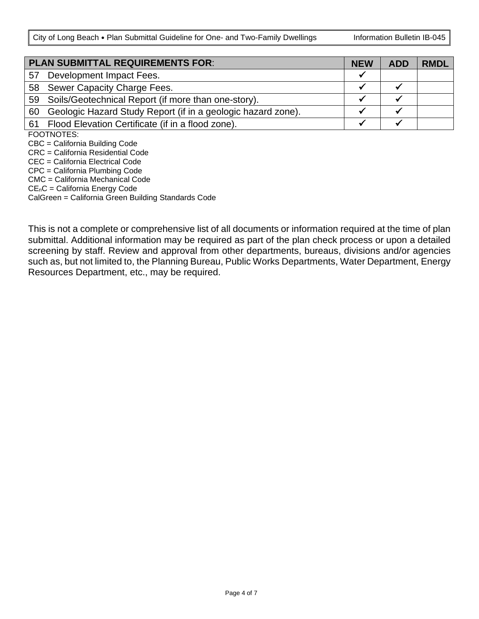City of Long Beach . Plan Submittal Guideline for One- and Two-Family Dwellings | Information Bulletin IB-045

| <b>PLAN SUBMITTAL REQUIREMENTS FOR:</b> |                                                              | <b>NEW</b> | <b>ADD</b> | <b>RMDL</b> |
|-----------------------------------------|--------------------------------------------------------------|------------|------------|-------------|
| 57                                      | Development Impact Fees.                                     | w          |            |             |
|                                         | 58 Sewer Capacity Charge Fees.                               |            |            |             |
|                                         | 59 Soils/Geotechnical Report (if more than one-story).       |            |            |             |
| 60                                      | Geologic Hazard Study Report (if in a geologic hazard zone). |            |            |             |
|                                         | 61 Flood Elevation Certificate (if in a flood zone).         |            |            |             |
|                                         | FOOTNOTES:                                                   |            |            |             |
| CBC = California Building Code          |                                                              |            |            |             |
|                                         | CRC = California Residential Code                            |            |            |             |

CEC = California Electrical Code

CPC = California Plumbing Code

CMC = California Mechanical Code

CEnC = California Energy Code

CalGreen = California Green Building Standards Code

This is not a complete or comprehensive list of all documents or information required at the time of plan submittal. Additional information may be required as part of the plan check process or upon a detailed screening by staff. Review and approval from other departments, bureaus, divisions and/or agencies such as, but not limited to, the Planning Bureau, Public Works Departments, Water Department, Energy Resources Department, etc., may be required.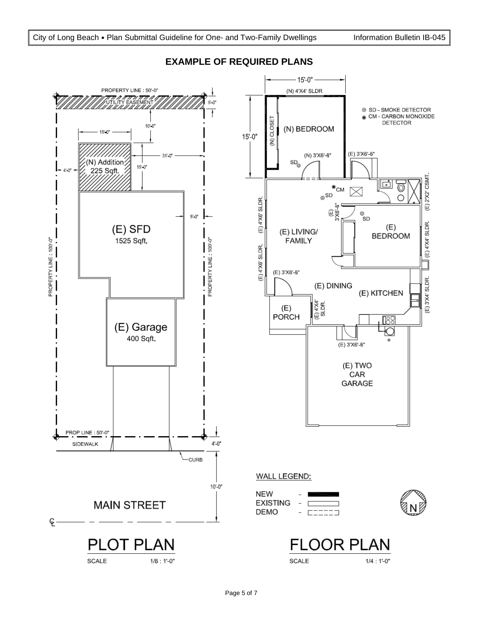

## **EXAMPLE OF REQUIRED PLANS**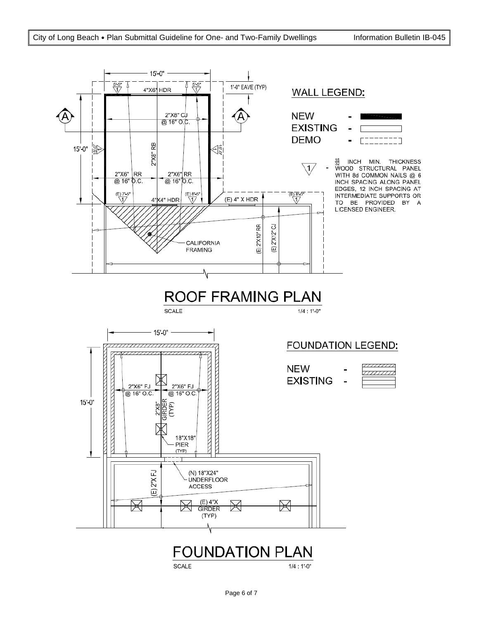